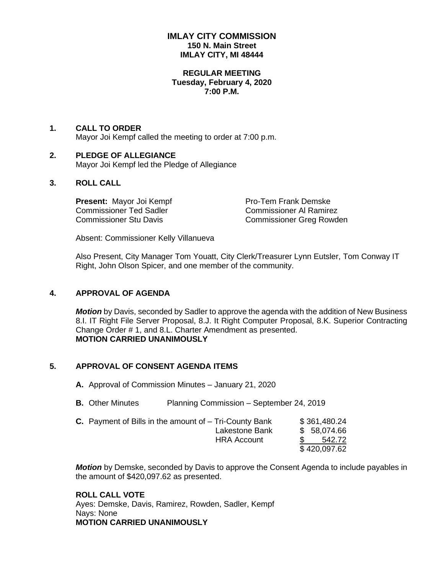## **IMLAY CITY COMMISSION 150 N. Main Street IMLAY CITY, MI 48444**

#### **REGULAR MEETING Tuesday, February 4, 2020 7:00 P.M.**

#### **1. CALL TO ORDER** Mayor Joi Kempf called the meeting to order at 7:00 p.m.

#### **2. PLEDGE OF ALLEGIANCE** Mayor Joi Kempf led the Pledge of Allegiance

# **3. ROLL CALL**

**Present:** Mayor Joi Kempf Pro-Tem Frank Demske Commissioner Ted Sadler Commissioner Al Ramirez

Commissioner Stu Davis Commissioner Greg Rowden

Absent: Commissioner Kelly Villanueva

Also Present, City Manager Tom Youatt, City Clerk/Treasurer Lynn Eutsler, Tom Conway IT Right, John Olson Spicer, and one member of the community.

# **4. APPROVAL OF AGENDA**

*Motion* by Davis, seconded by Sadler to approve the agenda with the addition of New Business 8.I. IT Right File Server Proposal, 8.J. It Right Computer Proposal, 8.K. Superior Contracting Change Order # 1, and 8.L. Charter Amendment as presented. **MOTION CARRIED UNANIMOUSLY**

# **5. APPROVAL OF CONSENT AGENDA ITEMS**

- **A.** Approval of Commission Minutes January 21, 2020
- **B.** Other Minutes Planning Commission September 24, 2019
- **C.** Payment of Bills in the amount of Tri-County Bank  $$361,480.24$ Lakestone Bank  $$58,074.66$  HRA Account \$ 542.72 \$ 420,097.62

*Motion* by Demske, seconded by Davis to approve the Consent Agenda to include payables in the amount of \$420,097.62 as presented.

**ROLL CALL VOTE** Ayes: Demske, Davis, Ramirez, Rowden, Sadler, Kempf Nays: None **MOTION CARRIED UNANIMOUSLY**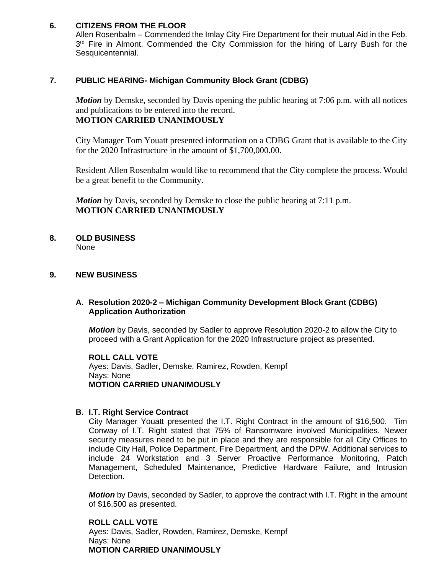# **6. CITIZENS FROM THE FLOOR**

Allen Rosenbalm – Commended the Imlay City Fire Department for their mutual Aid in the Feb. 3<sup>rd</sup> Fire in Almont. Commended the City Commission for the hiring of Larry Bush for the Sesquicentennial.

# **7. PUBLIC HEARING- Michigan Community Block Grant (CDBG)**

*Motion* by Demske, seconded by Davis opening the public hearing at 7:06 p.m. with all notices and publications to be entered into the record. **MOTION CARRIED UNANIMOUSLY**

City Manager Tom Youatt presented information on a CDBG Grant that is available to the City for the 2020 Infrastructure in the amount of \$1,700,000.00.

Resident Allen Rosenbalm would like to recommend that the City complete the process. Would be a great benefit to the Community.

*Motion* by Davis, seconded by Demske to close the public hearing at 7:11 p.m. **MOTION CARRIED UNANIMOUSLY**

**8. OLD BUSINESS** None

#### **9. NEW BUSINESS**

# **A. Resolution 2020-2 – Michigan Community Development Block Grant (CDBG) Application Authorization**

*Motion* by Davis, seconded by Sadler to approve Resolution 2020-2 to allow the City to proceed with a Grant Application for the 2020 Infrastructure project as presented.

**ROLL CALL VOTE** Ayes: Davis, Sadler, Demske, Ramirez, Rowden, Kempf Nays: None **MOTION CARRIED UNANIMOUSLY**

#### **B. I.T. Right Service Contract**

City Manager Youatt presented the I.T. Right Contract in the amount of \$16,500. Tim Conway of I.T. Right stated that 75% of Ransomware involved Municipalities. Newer security measures need to be put in place and they are responsible for all City Offices to include City Hall, Police Department, Fire Department, and the DPW. Additional services to include 24 Workstation and 3 Server Proactive Performance Monitoring, Patch Management, Scheduled Maintenance, Predictive Hardware Failure, and Intrusion Detection.

*Motion* by Davis, seconded by Sadler, to approve the contract with I.T. Right in the amount of \$16,500 as presented.

**ROLL CALL VOTE** Ayes: Davis, Sadler, Rowden, Ramirez, Demske, Kempf Nays: None **MOTION CARRIED UNANIMOUSLY**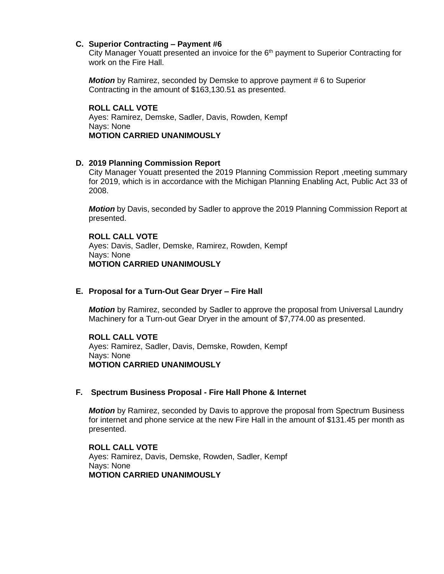#### **C. Superior Contracting – Payment #6**

City Manager Youatt presented an invoice for the 6<sup>th</sup> payment to Superior Contracting for work on the Fire Hall.

*Motion* by Ramirez, seconded by Demske to approve payment # 6 to Superior Contracting in the amount of \$163,130.51 as presented.

**ROLL CALL VOTE** Ayes: Ramirez, Demske, Sadler, Davis, Rowden, Kempf Nays: None **MOTION CARRIED UNANIMOUSLY**

# **D. 2019 Planning Commission Report**

City Manager Youatt presented the 2019 Planning Commission Report ,meeting summary for 2019, which is in accordance with the Michigan Planning Enabling Act, Public Act 33 of 2008.

*Motion* by Davis, seconded by Sadler to approve the 2019 Planning Commission Report at presented.

**ROLL CALL VOTE** Ayes: Davis, Sadler, Demske, Ramirez, Rowden, Kempf Nays: None **MOTION CARRIED UNANIMOUSLY**

#### **E. Proposal for a Turn-Out Gear Dryer – Fire Hall**

*Motion* by Ramirez, seconded by Sadler to approve the proposal from Universal Laundry Machinery for a Turn-out Gear Dryer in the amount of \$7,774.00 as presented.

**ROLL CALL VOTE** Ayes: Ramirez, Sadler, Davis, Demske, Rowden, Kempf Nays: None **MOTION CARRIED UNANIMOUSLY**

#### **F. Spectrum Business Proposal - Fire Hall Phone & Internet**

*Motion* by Ramirez, seconded by Davis to approve the proposal from Spectrum Business for internet and phone service at the new Fire Hall in the amount of \$131.45 per month as presented.

**ROLL CALL VOTE** Ayes: Ramirez, Davis, Demske, Rowden, Sadler, Kempf Nays: None **MOTION CARRIED UNANIMOUSLY**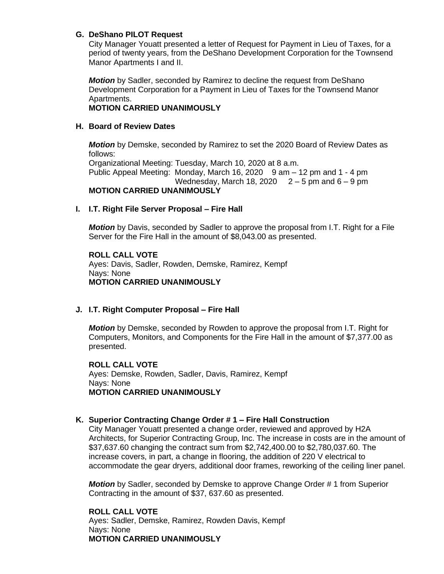#### **G. DeShano PILOT Request**

City Manager Youatt presented a letter of Request for Payment in Lieu of Taxes, for a period of twenty years, from the DeShano Development Corporation for the Townsend Manor Apartments I and II.

*Motion* by Sadler, seconded by Ramirez to decline the request from DeShano Development Corporation for a Payment in Lieu of Taxes for the Townsend Manor Apartments.

# **MOTION CARRIED UNANIMOUSLY**

#### **H. Board of Review Dates**

*Motion* by Demske, seconded by Ramirez to set the 2020 Board of Review Dates as follows: Organizational Meeting: Tuesday, March 10, 2020 at 8 a.m. Public Appeal Meeting: Monday, March 16, 2020 9 am – 12 pm and 1 - 4 pm Wednesday, March 18, 2020  $2 - 5$  pm and  $6 - 9$  pm

#### **MOTION CARRIED UNANIMOUSLY**

#### **I. I.T. Right File Server Proposal – Fire Hall**

*Motion* by Davis, seconded by Sadler to approve the proposal from I.T. Right for a File Server for the Fire Hall in the amount of \$8,043.00 as presented.

#### **ROLL CALL VOTE** Ayes: Davis, Sadler, Rowden, Demske, Ramirez, Kempf Nays: None **MOTION CARRIED UNANIMOUSLY**

# **J. I.T. Right Computer Proposal – Fire Hall**

*Motion* by Demske, seconded by Rowden to approve the proposal from I.T. Right for Computers, Monitors, and Components for the Fire Hall in the amount of \$7,377.00 as presented.

**ROLL CALL VOTE** Ayes: Demske, Rowden, Sadler, Davis, Ramirez, Kempf Nays: None **MOTION CARRIED UNANIMOUSLY**

# **K. Superior Contracting Change Order # 1 – Fire Hall Construction**

City Manager Youatt presented a change order, reviewed and approved by H2A Architects, for Superior Contracting Group, Inc. The increase in costs are in the amount of \$37,637.60 changing the contract sum from \$2,742,400.00 to \$2,780,037.60. The increase covers, in part, a change in flooring, the addition of 220 V electrical to accommodate the gear dryers, additional door frames, reworking of the ceiling liner panel.

*Motion* by Sadler, seconded by Demske to approve Change Order # 1 from Superior Contracting in the amount of \$37, 637.60 as presented.

#### **ROLL CALL VOTE** Ayes: Sadler, Demske, Ramirez, Rowden Davis, Kempf Nays: None **MOTION CARRIED UNANIMOUSLY**